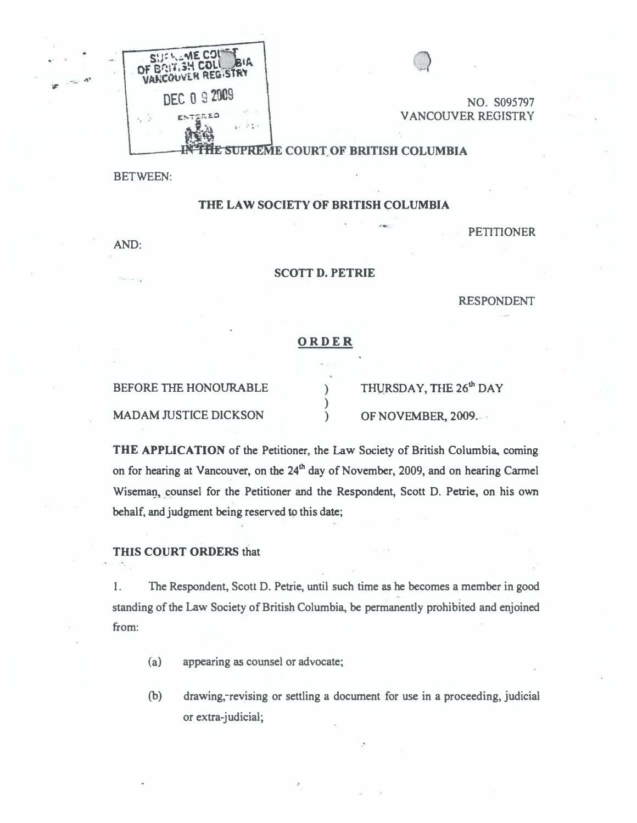

NO. S095797 VANCOUVER REGISTRY

# HE SUPREME COURT OF BRITISH COLUMBIA

BETWEEN:

### THE LAW SOCIETY OF BRITISH COLUMBIA

AND:

.. .

PETITIONER

#### SCOTT D. PETRIE

RESPONDENT

#### ORDER

) )

BEFORE THE HONOURABLE )

MADAM JUSTICE DICKSON OF NOVEMBER, 2009.

THURSDAY, THE 26<sup>th</sup> DAY

THE APPUCATION of the Petitioner, the Law Society of British Columbia. coming on for hearing at Vancouver, on the 24<sup>th</sup> day of November, 2009, and on hearing Carmel Wiseman, counsel for the Petitioner and the Respondent, Scott D. Petrie, on his own behalf, and judgment being reserved to this date;

## THIS COURT ORDERS that

I. The Respondent, Scott D. Petrie, until such time as he becomes a member in good standing of the Law Society of British Columbia. be permanently prohibited and enjoined from:

- (a) appearing as counsel or advocate;
- (b) drawing,-revising or settling a document for use in a proceeding, judicial or extra-judicial;